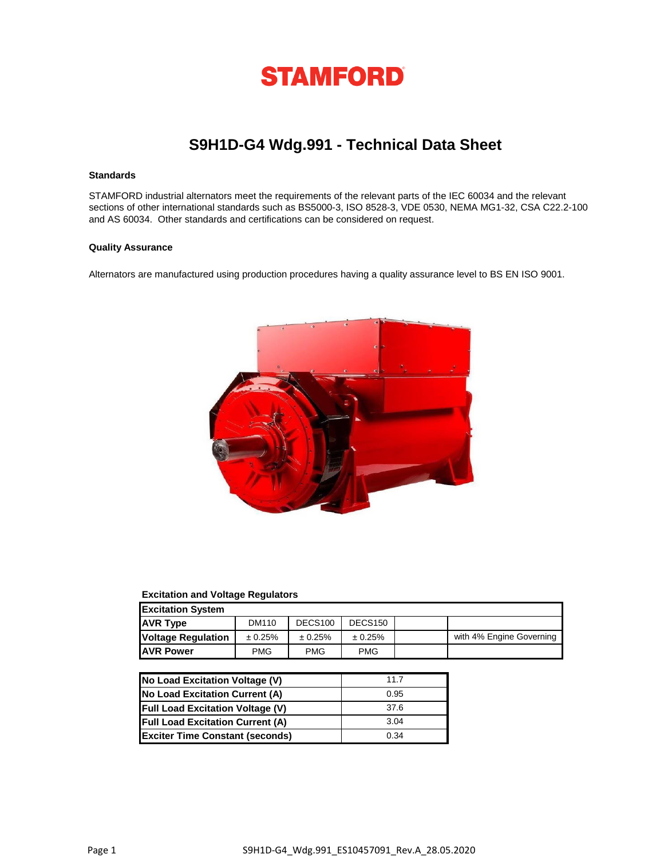

# **S9H1D-G4 Wdg.991 - Technical Data Sheet**

## **Standards**

STAMFORD industrial alternators meet the requirements of the relevant parts of the IEC 60034 and the relevant sections of other international standards such as BS5000-3, ISO 8528-3, VDE 0530, NEMA MG1-32, CSA C22.2-100 and AS 60034. Other standards and certifications can be considered on request.

### **Quality Assurance**

Alternators are manufactured using production procedures having a quality assurance level to BS EN ISO 9001.



### **Excitation and Voltage Regulators**

| <b>Excitation System</b>  |            |                     |                     |                          |
|---------------------------|------------|---------------------|---------------------|--------------------------|
| <b>AVR Type</b>           | DM110      | DECS <sub>100</sub> | DECS <sub>150</sub> |                          |
| <b>Voltage Regulation</b> | ± 0.25%    | ± 0.25%             | ± 0.25%             | with 4% Engine Governing |
| <b>JAVR Power</b>         | <b>PMG</b> | <b>PMG</b>          | <b>PMG</b>          |                          |

| No Load Excitation Voltage (V)          | 11 7 |
|-----------------------------------------|------|
| No Load Excitation Current (A)          | 0.95 |
| <b>Full Load Excitation Voltage (V)</b> | 37.6 |
| <b>Full Load Excitation Current (A)</b> | 3.04 |
| <b>Exciter Time Constant (seconds)</b>  | 0.34 |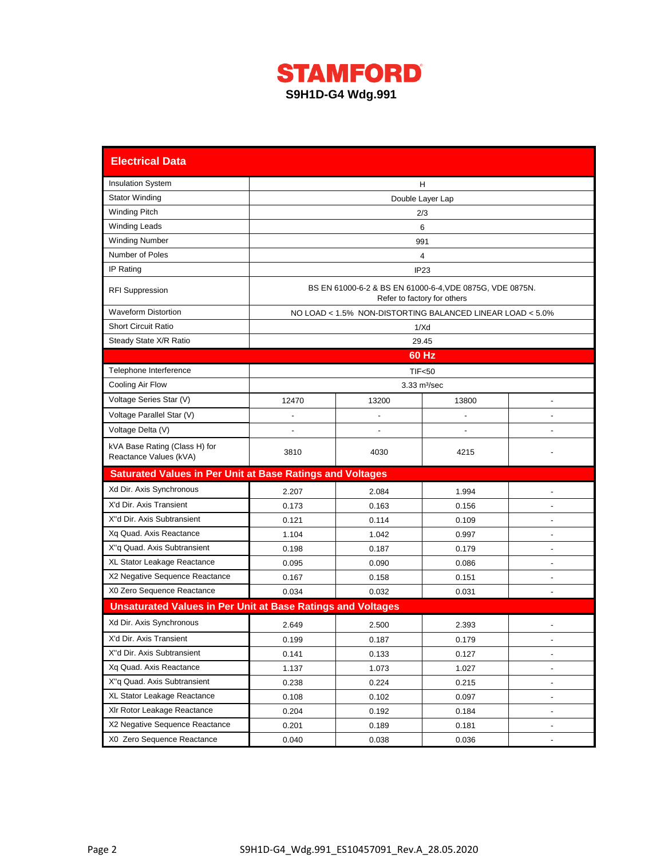

| <b>Electrical Data</b>                                             |                                                                                         |                                                           |                               |                |  |  |  |  |  |  |  |
|--------------------------------------------------------------------|-----------------------------------------------------------------------------------------|-----------------------------------------------------------|-------------------------------|----------------|--|--|--|--|--|--|--|
| <b>Insulation System</b>                                           | H                                                                                       |                                                           |                               |                |  |  |  |  |  |  |  |
| <b>Stator Winding</b>                                              | Double Layer Lap                                                                        |                                                           |                               |                |  |  |  |  |  |  |  |
| <b>Winding Pitch</b>                                               | 2/3                                                                                     |                                                           |                               |                |  |  |  |  |  |  |  |
| <b>Winding Leads</b>                                               | 6                                                                                       |                                                           |                               |                |  |  |  |  |  |  |  |
| <b>Winding Number</b>                                              | 991                                                                                     |                                                           |                               |                |  |  |  |  |  |  |  |
| Number of Poles                                                    | 4                                                                                       |                                                           |                               |                |  |  |  |  |  |  |  |
| IP Rating                                                          | IP23                                                                                    |                                                           |                               |                |  |  |  |  |  |  |  |
| <b>RFI Suppression</b>                                             | BS EN 61000-6-2 & BS EN 61000-6-4, VDE 0875G, VDE 0875N.<br>Refer to factory for others |                                                           |                               |                |  |  |  |  |  |  |  |
| <b>Waveform Distortion</b>                                         |                                                                                         | NO LOAD < 1.5% NON-DISTORTING BALANCED LINEAR LOAD < 5.0% |                               |                |  |  |  |  |  |  |  |
| <b>Short Circuit Ratio</b>                                         |                                                                                         |                                                           | 1/Xd                          |                |  |  |  |  |  |  |  |
| Steady State X/R Ratio                                             |                                                                                         |                                                           | 29.45                         |                |  |  |  |  |  |  |  |
|                                                                    |                                                                                         |                                                           | 60 Hz                         |                |  |  |  |  |  |  |  |
| Telephone Interference                                             |                                                                                         |                                                           | <b>TIF&lt;50</b>              |                |  |  |  |  |  |  |  |
| Cooling Air Flow                                                   |                                                                                         |                                                           | $3.33 \text{ m}^3/\text{sec}$ |                |  |  |  |  |  |  |  |
| Voltage Series Star (V)                                            | 12470                                                                                   | 13200                                                     | 13800                         |                |  |  |  |  |  |  |  |
| Voltage Parallel Star (V)                                          |                                                                                         |                                                           |                               |                |  |  |  |  |  |  |  |
| Voltage Delta (V)                                                  |                                                                                         |                                                           |                               |                |  |  |  |  |  |  |  |
| kVA Base Rating (Class H) for<br>Reactance Values (kVA)            | 3810                                                                                    | 4030                                                      | 4215                          |                |  |  |  |  |  |  |  |
| <b>Saturated Values in Per Unit at Base Ratings and Voltages</b>   |                                                                                         |                                                           |                               |                |  |  |  |  |  |  |  |
| Xd Dir. Axis Synchronous                                           | 2.207                                                                                   | 2.084                                                     | 1.994                         |                |  |  |  |  |  |  |  |
| X'd Dir. Axis Transient                                            | 0.173                                                                                   | 0.163                                                     | 0.156                         |                |  |  |  |  |  |  |  |
| X"d Dir. Axis Subtransient                                         | 0.121                                                                                   | 0.114                                                     | 0.109                         |                |  |  |  |  |  |  |  |
| Xq Quad. Axis Reactance                                            | 1.104                                                                                   | 1.042                                                     | 0.997                         |                |  |  |  |  |  |  |  |
| X"q Quad. Axis Subtransient                                        | 0.198                                                                                   | 0.187                                                     | 0.179                         | ٠              |  |  |  |  |  |  |  |
| XL Stator Leakage Reactance                                        | 0.095                                                                                   | 0.090                                                     | 0.086                         | $\blacksquare$ |  |  |  |  |  |  |  |
| X2 Negative Sequence Reactance                                     | 0.167                                                                                   | 0.158                                                     | 0.151                         |                |  |  |  |  |  |  |  |
| X0 Zero Sequence Reactance                                         | 0.034                                                                                   | 0.032                                                     | 0.031                         |                |  |  |  |  |  |  |  |
| <b>Unsaturated Values in Per Unit at Base Ratings and Voltages</b> |                                                                                         |                                                           |                               |                |  |  |  |  |  |  |  |
| Xd Dir. Axis Synchronous                                           | 2.649                                                                                   | 2.500                                                     | 2.393                         |                |  |  |  |  |  |  |  |
| X'd Dir. Axis Transient                                            | 0.199                                                                                   | 0.187                                                     | 0.179                         |                |  |  |  |  |  |  |  |
| X"d Dir. Axis Subtransient                                         | 0.141                                                                                   | 0.133                                                     | 0.127                         |                |  |  |  |  |  |  |  |
| Xq Quad. Axis Reactance                                            | 1.137                                                                                   | 1.073                                                     | 1.027                         |                |  |  |  |  |  |  |  |
| X"q Quad. Axis Subtransient                                        | 0.238                                                                                   | 0.224                                                     | 0.215                         |                |  |  |  |  |  |  |  |
| XL Stator Leakage Reactance                                        | 0.108                                                                                   | 0.102                                                     | 0.097                         |                |  |  |  |  |  |  |  |
| XIr Rotor Leakage Reactance                                        | 0.204                                                                                   | 0.192                                                     | 0.184                         |                |  |  |  |  |  |  |  |
| X2 Negative Sequence Reactance                                     | 0.201                                                                                   | 0.189                                                     | 0.181                         |                |  |  |  |  |  |  |  |
| X0 Zero Sequence Reactance                                         | 0.040                                                                                   | 0.038                                                     | 0.036                         |                |  |  |  |  |  |  |  |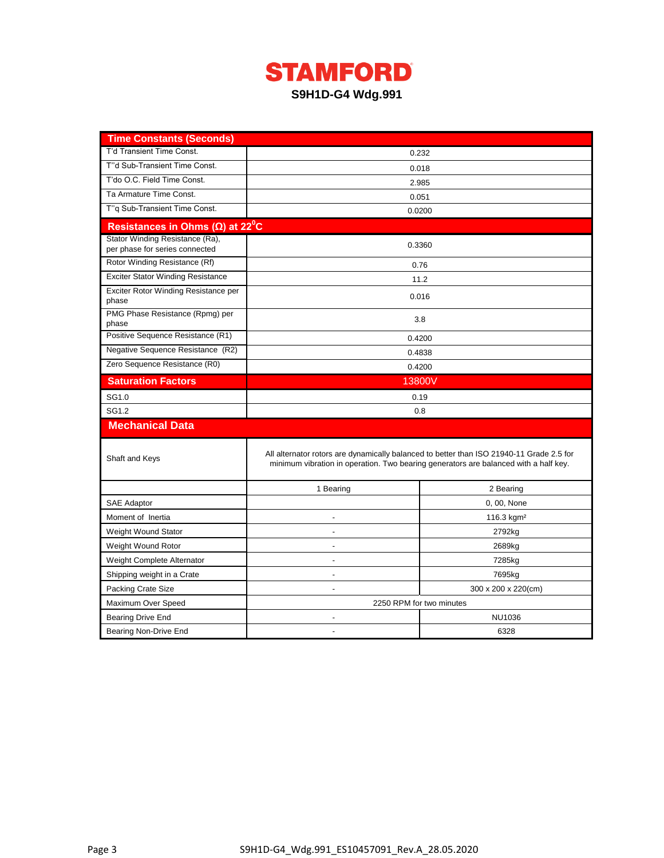

| <b>Time Constants (Seconds)</b>                                   |                          |                                                                                                                                                                                  |  |  |  |  |  |
|-------------------------------------------------------------------|--------------------------|----------------------------------------------------------------------------------------------------------------------------------------------------------------------------------|--|--|--|--|--|
| T'd Transient Time Const.                                         |                          | 0.232                                                                                                                                                                            |  |  |  |  |  |
| T"d Sub-Transient Time Const.                                     |                          | 0.018                                                                                                                                                                            |  |  |  |  |  |
| T'do O.C. Field Time Const.                                       |                          | 2.985                                                                                                                                                                            |  |  |  |  |  |
| Ta Armature Time Const.                                           |                          | 0.051                                                                                                                                                                            |  |  |  |  |  |
| T"q Sub-Transient Time Const.                                     |                          | 0.0200                                                                                                                                                                           |  |  |  |  |  |
| Resistances in Ohms ( $\Omega$ ) at 22 <sup>°</sup> C             |                          |                                                                                                                                                                                  |  |  |  |  |  |
| Stator Winding Resistance (Ra),<br>per phase for series connected |                          | 0.3360                                                                                                                                                                           |  |  |  |  |  |
| Rotor Winding Resistance (Rf)                                     |                          | 0.76                                                                                                                                                                             |  |  |  |  |  |
| <b>Exciter Stator Winding Resistance</b>                          |                          | 11.2                                                                                                                                                                             |  |  |  |  |  |
| Exciter Rotor Winding Resistance per<br>phase                     |                          | 0.016                                                                                                                                                                            |  |  |  |  |  |
| PMG Phase Resistance (Rpmg) per<br>phase                          |                          | 3.8                                                                                                                                                                              |  |  |  |  |  |
| Positive Sequence Resistance (R1)                                 |                          | 0.4200                                                                                                                                                                           |  |  |  |  |  |
| Negative Sequence Resistance (R2)                                 | 0.4838                   |                                                                                                                                                                                  |  |  |  |  |  |
| Zero Sequence Resistance (R0)                                     | 0.4200                   |                                                                                                                                                                                  |  |  |  |  |  |
| <b>Saturation Factors</b>                                         | 13800V                   |                                                                                                                                                                                  |  |  |  |  |  |
| SG1.0                                                             | 0.19                     |                                                                                                                                                                                  |  |  |  |  |  |
| SG1.2                                                             | 0.8                      |                                                                                                                                                                                  |  |  |  |  |  |
| <b>Mechanical Data</b>                                            |                          |                                                                                                                                                                                  |  |  |  |  |  |
| Shaft and Keys                                                    |                          | All alternator rotors are dynamically balanced to better than ISO 21940-11 Grade 2.5 for<br>minimum vibration in operation. Two bearing generators are balanced with a half key. |  |  |  |  |  |
|                                                                   | 1 Bearing                | 2 Bearing                                                                                                                                                                        |  |  |  |  |  |
| <b>SAE Adaptor</b>                                                |                          | 0, 00, None                                                                                                                                                                      |  |  |  |  |  |
| Moment of Inertia                                                 |                          | 116.3 $kgm2$                                                                                                                                                                     |  |  |  |  |  |
| Weight Wound Stator                                               | ÷                        | 2792kg                                                                                                                                                                           |  |  |  |  |  |
| Weight Wound Rotor                                                |                          | 2689kg                                                                                                                                                                           |  |  |  |  |  |
| Weight Complete Alternator                                        |                          | 7285kg                                                                                                                                                                           |  |  |  |  |  |
| Shipping weight in a Crate                                        |                          | 7695kg                                                                                                                                                                           |  |  |  |  |  |
| <b>Packing Crate Size</b>                                         |                          | 300 x 200 x 220(cm)                                                                                                                                                              |  |  |  |  |  |
| Maximum Over Speed                                                | 2250 RPM for two minutes |                                                                                                                                                                                  |  |  |  |  |  |
| <b>Bearing Drive End</b>                                          |                          | <b>NU1036</b>                                                                                                                                                                    |  |  |  |  |  |
| Bearing Non-Drive End                                             |                          | 6328                                                                                                                                                                             |  |  |  |  |  |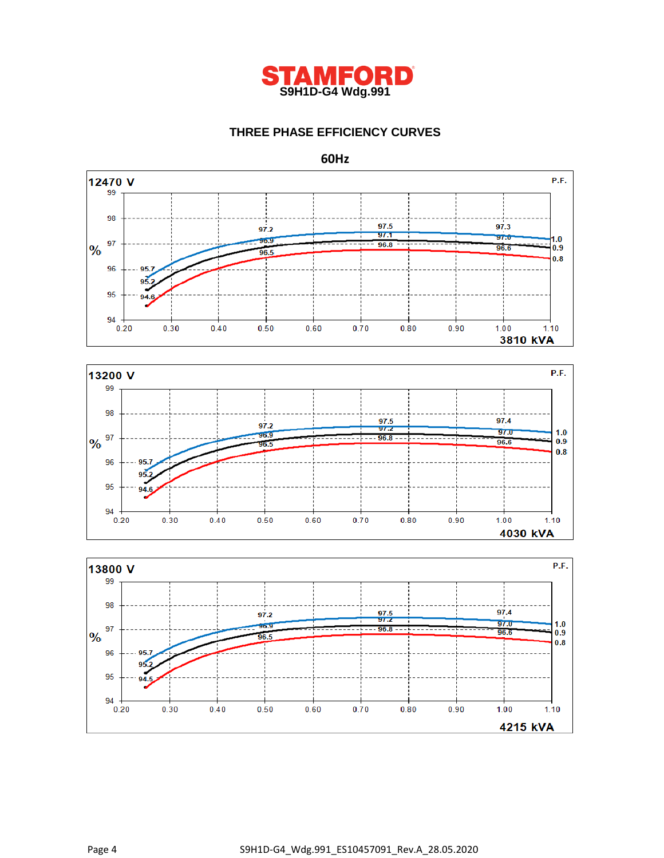

# **THREE PHASE EFFICIENCY CURVES**

**60Hz**





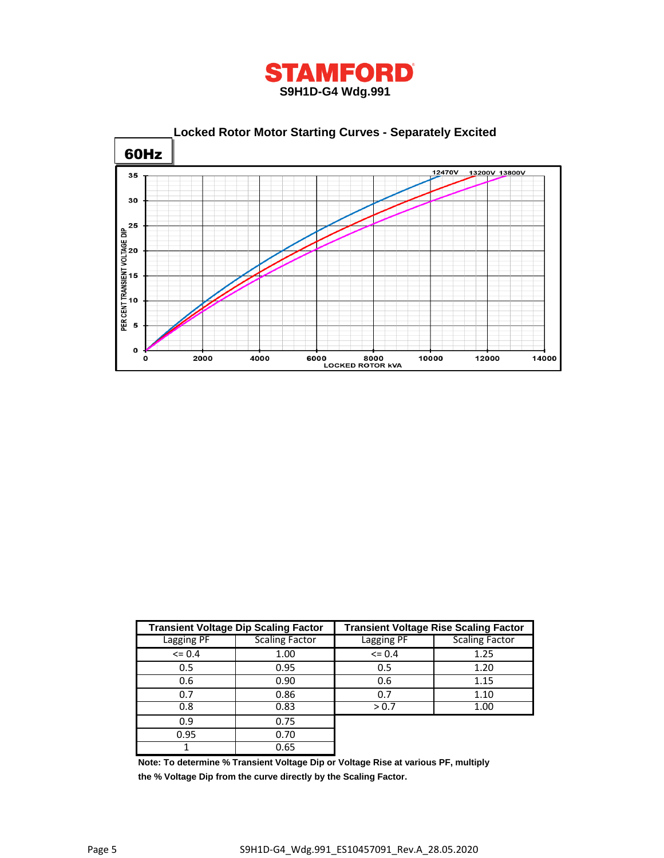



|              | <b>Transient Voltage Dip Scaling Factor</b> | <b>Transient Voltage Rise Scaling Factor</b> |                       |  |  |  |  |
|--------------|---------------------------------------------|----------------------------------------------|-----------------------|--|--|--|--|
| Lagging PF   | <b>Scaling Factor</b>                       | Lagging PF                                   | <b>Scaling Factor</b> |  |  |  |  |
| $\leq 0.4$   | 1.00                                        | $\leq$ 0.4                                   | 1.25                  |  |  |  |  |
| 0.5          | 0.95                                        | 0.5                                          | 1.20                  |  |  |  |  |
| 0.6          | 0.90                                        | 0.6                                          | 1.15                  |  |  |  |  |
| 0.7          | 0.86                                        | 0.7                                          | 1.10                  |  |  |  |  |
| 0.8          | 0.83                                        | > 0.7                                        | 1.00                  |  |  |  |  |
| 0.9          | 0.75                                        |                                              |                       |  |  |  |  |
| 0.95<br>0.70 |                                             |                                              |                       |  |  |  |  |
|              | 0.65                                        |                                              |                       |  |  |  |  |

**Note: To determine % Transient Voltage Dip or Voltage Rise at various PF, multiply the % Voltage Dip from the curve directly by the Scaling Factor.**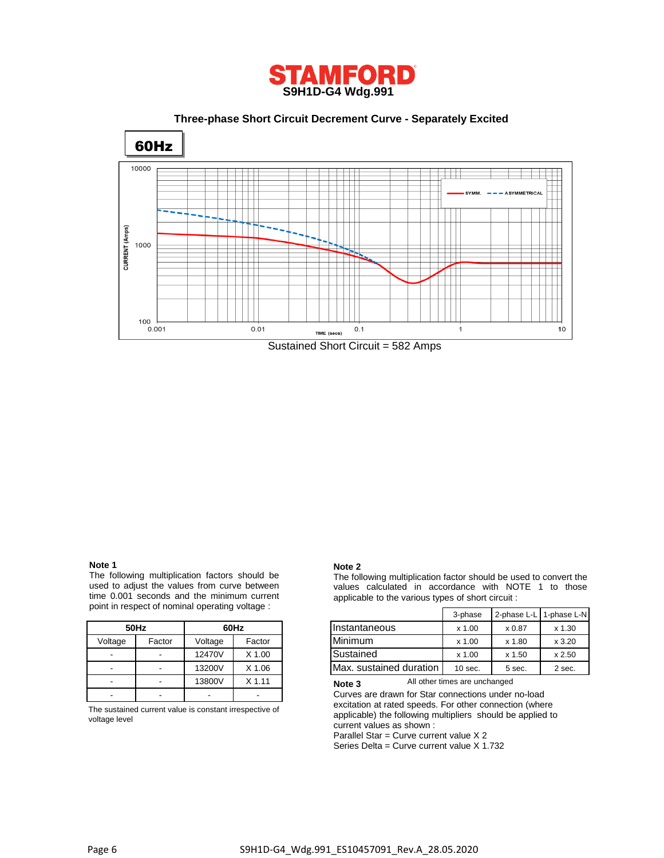

 **Three-phase Short Circuit Decrement Curve - Separately Excited**



#### **Note 1**

The following multiplication factors should be used to adjust the values from curve between time 0.001 seconds and the minimum current point in respect of nominal operating voltage :

|         | 50Hz   | 60Hz    |          |  |  |  |  |
|---------|--------|---------|----------|--|--|--|--|
| Voltage | Factor | Voltage | Factor   |  |  |  |  |
|         |        | 12470V  | $X$ 1.00 |  |  |  |  |
|         |        | 13200V  | $X$ 1.06 |  |  |  |  |
|         |        | 13800V  | $X$ 1.11 |  |  |  |  |
|         |        |         |          |  |  |  |  |

The sustained current value is constant irrespective of voltage level

#### **Note 2**

The following multiplication factor should be used to convert the values calculated in accordance with NOTE 1 to those applicable to the various types of short circuit :

|              | erit in respect of norminal operating voltage. | 3-phase        |        | 2-phase L-L 1-phase L-N |           |          |        |
|--------------|------------------------------------------------|----------------|--------|-------------------------|-----------|----------|--------|
| 60Hz<br>50Hz |                                                | Ilnstantaneous | x 1.00 | x 0.87                  | $x$ 1.30  |          |        |
| Voltage      | Factor                                         | Voltage        | Factor | Minimum                 | x 1.00    | x 1.80   | x3.20  |
| -            | $\overline{\phantom{a}}$                       | 12470V         | X 1.00 | Sustained               | x 1.00    | $x$ 1.50 | x 2.50 |
| -            | $\sim$                                         | 13200V         | X 1.06 | Max. sustained duration | $10$ sec. | 5 sec.   | 2 sec. |

All other times are unchanged **Note 3**

Curves are drawn for Star connections under no-load excitation at rated speeds. For other connection (where applicable) the following multipliers should be applied to current values as shown :

Parallel Star = Curve current value X 2

Series Delta = Curve current value X 1.732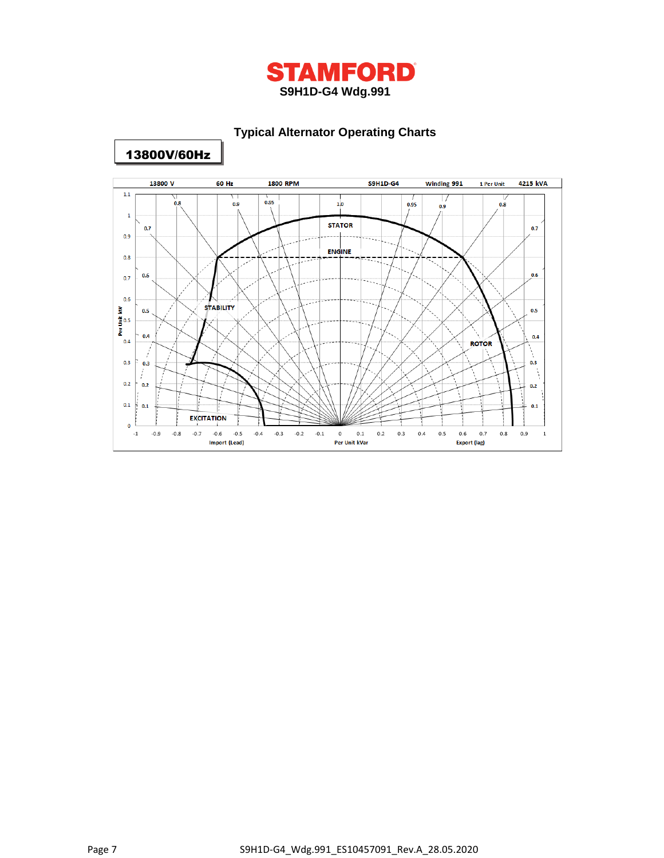

# **Typical Alternator Operating Charts**



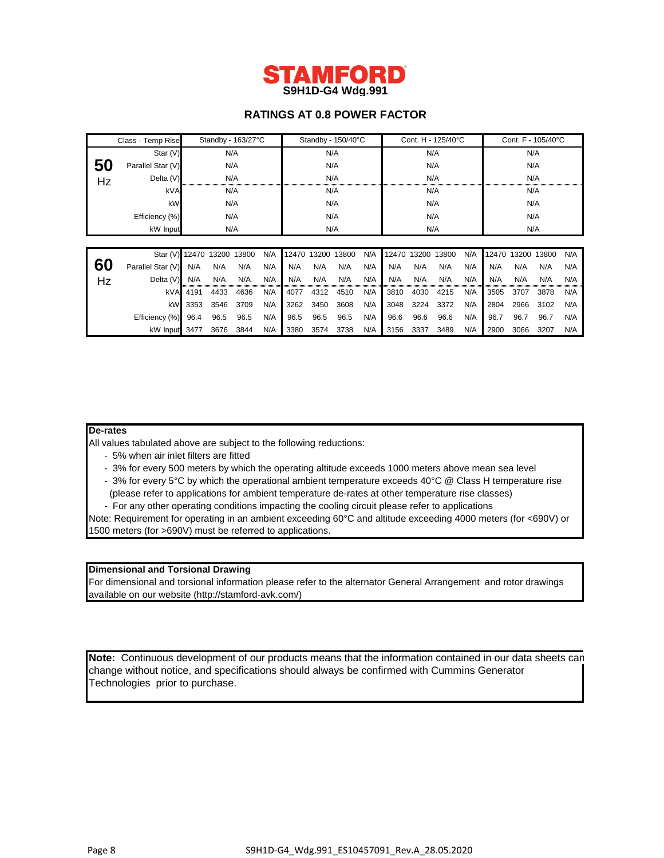

# **RATINGS AT 0.8 POWER FACTOR**

|    | Class - Temp Rise          |      | Standby - 163/27°C |      |     |      | Standby - 150/40°C |       |     |       | Cont. H - 125/40°C |       |     |       | Cont. F - 105/40°C |       |     |
|----|----------------------------|------|--------------------|------|-----|------|--------------------|-------|-----|-------|--------------------|-------|-----|-------|--------------------|-------|-----|
|    | Star (V)                   | N/A  |                    |      | N/A |      |                    | N/A   |     |       |                    | N/A   |     |       |                    |       |     |
| 50 | Parallel Star (V)          |      | N/A                |      |     | N/A  |                    |       | N/A |       |                    | N/A   |     |       |                    |       |     |
| Hz | Delta (V)                  | N/A  |                    | N/A  |     |      | N/A                |       |     | N/A   |                    |       |     |       |                    |       |     |
|    | kVA                        |      | N/A                |      |     | N/A  |                    | N/A   |     |       | N/A                |       |     |       |                    |       |     |
|    | kW                         | N/A  |                    | N/A  |     |      | N/A                |       |     | N/A   |                    |       |     |       |                    |       |     |
|    | Efficiency (%)             |      | N/A                |      | N/A |      |                    | N/A   |     |       | N/A                |       |     |       |                    |       |     |
|    | kW Input                   |      | N/A                |      |     | N/A  |                    |       | N/A |       |                    | N/A   |     |       |                    |       |     |
|    |                            |      |                    |      |     |      |                    |       |     |       |                    |       |     |       |                    |       |     |
|    | Star (V) 12470 13200 13800 |      |                    |      | N/A |      | 12470 13200        | 13800 | N/A | 12470 | 13200              | 13800 | N/A | 12470 | 13200              | 13800 | N/A |
| 60 | Parallel Star (V)          | N/A  | N/A                | N/A  | N/A | N/A  | N/A                | N/A   | N/A | N/A   | N/A                | N/A   | N/A | N/A   | N/A                | N/A   | N/A |
| Hz | Delta (V)                  | N/A  | N/A                | N/A  | N/A | N/A  | N/A                | N/A   | N/A | N/A   | N/A                | N/A   | N/A | N/A   | N/A                | N/A   | N/A |
|    | kVA                        | 4191 | 4433               | 4636 | N/A | 4077 | 4312               | 4510  | N/A | 3810  | 4030               | 4215  | N/A | 3505  | 3707               | 3878  | N/A |
|    | <b>kW</b>                  | 3353 | 3546               | 3709 | N/A | 3262 | 3450               | 3608  | N/A | 3048  | 3224               | 3372  | N/A | 2804  | 2966               | 3102  | N/A |
|    | Efficiency (%)             | 96.4 | 96.5               | 96.5 | N/A | 96.5 | 96.5               | 96.5  | N/A | 96.6  | 96.6               | 96.6  | N/A | 96.7  | 96.7               | 96.7  | N/A |
|    | kW Input 3477              |      | 3676               | 3844 | N/A | 3380 | 3574               | 3738  | N/A | 3156  | 3337               | 3489  | N/A | 2900  | 3066               | 3207  | N/A |

#### **De-rates**

All values tabulated above are subject to the following reductions:

- 5% when air inlet filters are fitted
- 3% for every 500 meters by which the operating altitude exceeds 1000 meters above mean sea level
- 3% for every 5°C by which the operational ambient temperature exceeds 40°C @ Class H temperature rise
- (please refer to applications for ambient temperature de-rates at other temperature rise classes)
- For any other operating conditions impacting the cooling circuit please refer to applications

Note: Requirement for operating in an ambient exceeding 60°C and altitude exceeding 4000 meters (for <690V) or 1500 meters (for >690V) must be referred to applications.

### **Dimensional and Torsional Drawing**

For dimensional and torsional information please refer to the alternator General Arrangement and rotor drawings available on our website (http://stamford-avk.com/)

**Note:** Continuous development of our products means that the information contained in our data sheets can change without notice, and specifications should always be confirmed with Cummins Generator Technologies prior to purchase.